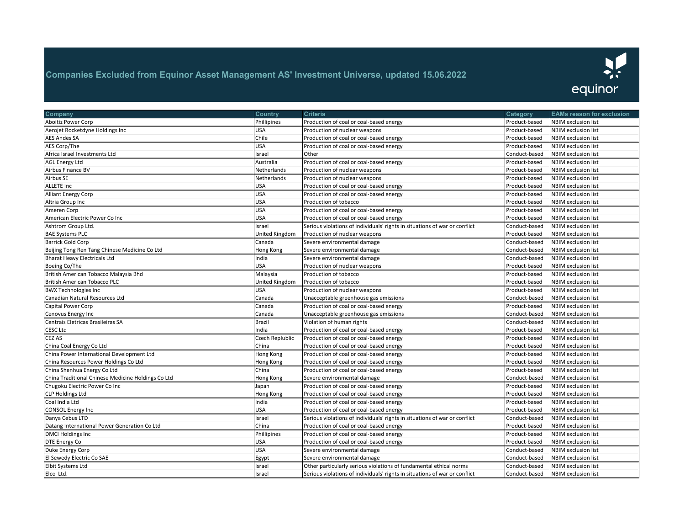

| Company                                            | Country               | Criteria                                                                   | Category      | <b>EAMs reason for exclusion</b> |
|----------------------------------------------------|-----------------------|----------------------------------------------------------------------------|---------------|----------------------------------|
| Aboitiz Power Corp                                 | Phillipines           | Production of coal or coal-based energy                                    | Product-based | <b>NBIM</b> exclusion list       |
| Aerojet Rocketdyne Holdings Inc                    | <b>USA</b>            | Production of nuclear weapons                                              | Product-based | <b>NBIM</b> exclusion list       |
| AES Andes SA                                       | Chile                 | Production of coal or coal-based energy                                    | Product-based | NBIM exclusion list              |
| <b>AES Corp/The</b>                                | <b>USA</b>            | Production of coal or coal-based energy                                    | Product-based | NBIM exclusion list              |
| Africa Israel Investments Ltd                      | Israel                | Other                                                                      | Conduct-based | <b>NBIM</b> exclusion list       |
| <b>AGL Energy Ltd</b>                              | Australia             | Production of coal or coal-based energy                                    | Product-based | NBIM exclusion list              |
| Airbus Finance BV                                  | Netherlands           | Production of nuclear weapons                                              | Product-based | NBIM exclusion list              |
| Airbus SE                                          | Netherlands           | Production of nuclear weapons                                              | Product-based | NBIM exclusion list              |
| <b>ALLETE Inc</b>                                  | <b>USA</b>            | Production of coal or coal-based energy                                    | Product-based | NBIM exclusion list              |
| <b>Alliant Energy Corp</b>                         | <b>USA</b>            | Production of coal or coal-based energy                                    | Product-based | NBIM exclusion list              |
| Altria Group Inc                                   | <b>USA</b>            | Production of tobacco                                                      | Product-based | NBIM exclusion list              |
| Ameren Corp                                        | <b>USA</b>            | Production of coal or coal-based energy                                    | Product-based | NBIM exclusion list              |
| American Electric Power Co Inc                     | <b>USA</b>            | Production of coal or coal-based energy                                    | Product-based | NBIM exclusion list              |
| Ashtrom Group Ltd.                                 | Israel                | Serious violations of individuals' rights in situations of war or conflict | Conduct-based | <b>NBIM exclusion list</b>       |
| <b>BAE Systems PLC</b>                             | <b>United Kingdom</b> | Production of nuclear weapons                                              | Product-based | NBIM exclusion list              |
| <b>Barrick Gold Corp</b>                           | Canada                | Severe environmental damage                                                | Conduct-based | NBIM exclusion list              |
| Beijing Tong Ren Tang Chinese Medicine Co Ltd      | <b>Hong Kong</b>      | Severe environmental damage                                                | Conduct-based | <b>NBIM</b> exclusion list       |
| <b>Bharat Heavy Electricals Ltd</b>                | India                 | Severe environmental damage                                                | Conduct-based | NBIM exclusion list              |
| Boeing Co/The                                      | <b>USA</b>            | Production of nuclear weapons                                              | Product-based | <b>NBIM</b> exclusion list       |
| British American Tobacco Malaysia Bhd              | Malaysia              | Production of tobacco                                                      | Product-based | NBIM exclusion list              |
| <b>British American Tobacco PLC</b>                | United Kingdom        | Production of tobacco                                                      | Product-based | NBIM exclusion list              |
| <b>BWX Technologies Inc</b>                        | <b>USA</b>            | Production of nuclear weapons                                              | Product-based | NBIM exclusion list              |
| Canadian Natural Resources Ltd                     | Canada                | Unacceptable greenhouse gas emissions                                      | Conduct-based | NBIM exclusion list              |
| Capital Power Corp                                 | Canada                | Production of coal or coal-based energy                                    | Product-based | <b>NBIM</b> exclusion list       |
| Cenovus Energy Inc                                 | Canada                | Unacceptable greenhouse gas emissions                                      | Conduct-based | <b>NBIM</b> exclusion list       |
| Centrais Eletricas Brasileiras SA                  | <b>Brazil</b>         | Violation of human rights                                                  | Conduct-based | <b>NBIM exclusion list</b>       |
| <b>CESC Ltd</b>                                    | India                 | Production of coal or coal-based energy                                    | Product-based | NBIM exclusion list              |
| <b>CEZ AS</b>                                      | Czech Replublic       | Production of coal or coal-based energy                                    | Product-based | NBIM exclusion list              |
| China Coal Energy Co Ltd                           | China                 | Production of coal or coal-based energy                                    | Product-based | NBIM exclusion list              |
| China Power International Development Ltd          | Hong Kong             | Production of coal or coal-based energy                                    | Product-based | NBIM exclusion list              |
| China Resources Power Holdings Co Ltd              | <b>Hong Kong</b>      | Production of coal or coal-based energy                                    | Product-based | NBIM exclusion list              |
| China Shenhua Energy Co Ltd                        | China                 | Production of coal or coal-based energy                                    | Product-based | NBIM exclusion list              |
| China Traditional Chinese Medicine Holdings Co Ltd | Hong Kong             | Severe environmental damage                                                | Conduct-based | <b>NBIM</b> exclusion list       |
| Chugoku Electric Power Co Inc                      | Japan                 | Production of coal or coal-based energy                                    | Product-based | <b>NBIM exclusion list</b>       |
| <b>CLP Holdings Ltd</b>                            | Hong Kong             | Production of coal or coal-based energy                                    | Product-based | NBIM exclusion list              |
| Coal India Ltd                                     | India                 | Production of coal or coal-based energy                                    | Product-based | NBIM exclusion list              |
| <b>CONSOL Energy Inc</b>                           | <b>USA</b>            | Production of coal or coal-based energy                                    | Product-based | <b>NBIM</b> exclusion list       |
| Danya Cebus LTD                                    | Israel                | Serious violations of individuals' rights in situations of war or conflict | Conduct-based | <b>NBIM exclusion list</b>       |
| Datang International Power Generation Co Ltd       | China                 | Production of coal or coal-based energy                                    | Product-based | <b>NBIM</b> exclusion list       |
| <b>DMCI Holdings Inc</b>                           | Phillipines           | Production of coal or coal-based energy                                    | Product-based | <b>NBIM</b> exclusion list       |
| <b>DTE Energy Co</b>                               | <b>USA</b>            | Production of coal or coal-based energy                                    | Product-based | <b>NBIM</b> exclusion list       |
| Duke Energy Corp                                   | <b>USA</b>            | Severe environmental damage                                                | Conduct-based | <b>NBIM</b> exclusion list       |
| El Sewedy Electric Co SAE                          | Egypt                 | Severe environmental damage                                                | Conduct-based | <b>NBIM</b> exclusion list       |
| <b>Elbit Systems Ltd</b>                           | Israel                | Other particularly serious violations of fundamental ethical norms         | Conduct-based | <b>NBIM</b> exclusion list       |
| Elco Ltd.                                          | Israel                | Serious violations of individuals' rights in situations of war or conflict | Conduct-based | <b>NBIM</b> exclusion list       |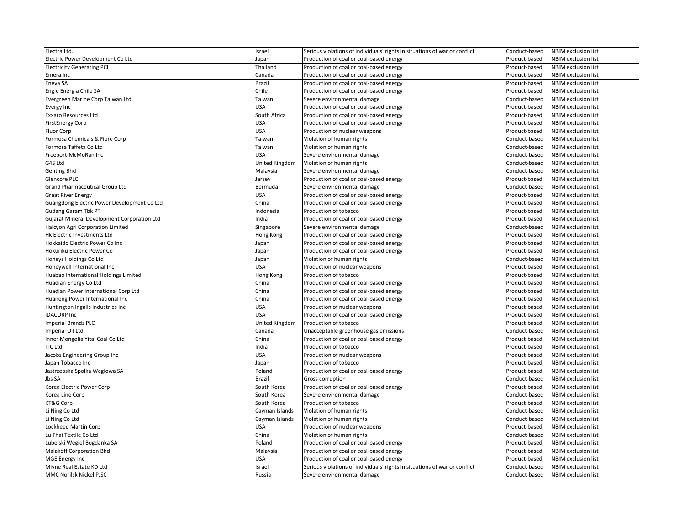| Electra Ltd.                                | Israel         | Serious violations of individuals' rights in situations of war or conflict | Conduct-based | <b>NBIM</b> exclusion list |
|---------------------------------------------|----------------|----------------------------------------------------------------------------|---------------|----------------------------|
| Electric Power Development Co Ltd           | Japan          | Production of coal or coal-based energy                                    | Product-based | <b>NBIM</b> exclusion list |
| <b>Electricity Generating PCL</b>           | Thailand       | Production of coal or coal-based energy                                    | Product-based | NBIM exclusion list        |
| Emera Inc                                   | Canada         | Production of coal or coal-based energy                                    | Product-based | <b>NBIM</b> exclusion list |
| Eneva SA                                    | Brazil         | Production of coal or coal-based energy                                    | Product-based | NBIM exclusion list        |
| Engie Energia Chile SA                      | Chile          | Production of coal or coal-based energy                                    | Product-based | <b>NBIM</b> exclusion list |
| Evergreen Marine Corp Taiwan Ltd            | Taiwan         | Severe environmental damage                                                | Conduct-based | NBIM exclusion list        |
| Evergy Inc                                  | USA            | Production of coal or coal-based energy                                    | Product-based | <b>NBIM</b> exclusion list |
| Exxaro Resources Ltd                        | South Africa   | Production of coal or coal-based energy                                    | Product-based | NBIM exclusion list        |
| <b>FirstEnergy Corp</b>                     | USA            | Production of coal or coal-based energy                                    | Product-based | <b>NBIM</b> exclusion list |
| Fluor Corp                                  | USA            | Production of nuclear weapons                                              | Product-based | NBIM exclusion list        |
| Formosa Chemicals & Fibre Corp              | Taiwan         | Violation of human rights                                                  | Conduct-based | <b>NBIM</b> exclusion list |
| Formosa Taffeta Co Ltd                      | Taiwan         | Violation of human rights                                                  | Conduct-based | <b>NBIM</b> exclusion list |
| Freeport-McMoRan Inc                        | USA            | Severe environmental damage                                                | Conduct-based | NBIM exclusion list        |
| G4S Ltd                                     | United Kingdom | Violation of human rights                                                  | Conduct-based | <b>NBIM</b> exclusion list |
| Genting Bhd                                 | Malaysia       | Severe environmental damage                                                | Conduct-based | NBIM exclusion list        |
| Glencore PLC                                | Jersey         | Production of coal or coal-based energy                                    | Product-based | <b>NBIM</b> exclusion list |
| <b>Grand Pharmaceutical Group Ltd</b>       | Bermuda        | Severe environmental damage                                                | Conduct-based | <b>NBIM</b> exclusion list |
| <b>Great River Energy</b>                   | USA            | Production of coal or coal-based energy                                    | Product-based | <b>NBIM</b> exclusion list |
| Guangdong Electric Power Development Co Ltd | China          | Production of coal or coal-based energy                                    | Product-based | <b>NBIM</b> exclusion list |
| <b>Gudang Garam Tbk PT</b>                  | ndonesia       | Production of tobacco                                                      | Product-based | <b>NBIM</b> exclusion list |
| Gujarat Mineral Development Corporation Ltd | ndia           | Production of coal or coal-based energy                                    | Product-based | <b>NBIM</b> exclusion list |
| Halcyon Agri Corporation Limited            | Singapore      | Severe environmental damage                                                | Conduct-based | NBIM exclusion list        |
| Hk Electric Investments Ltd                 | Hong Kong      | Production of coal or coal-based energy                                    | Product-based | <b>NBIM</b> exclusion list |
| Hokkaido Electric Power Co Inc              | Japan          | Production of coal or coal-based energy                                    | Product-based | <b>NBIM</b> exclusion list |
| Hokuriku Electric Power Co                  | Japan          | Production of coal or coal-based energy                                    | Product-based | <b>NBIM</b> exclusion list |
| Honeys Holdings Co Ltd                      | Japan          | Violation of human rights                                                  | Conduct-based | <b>NBIM</b> exclusion list |
| Honeywell International Inc                 | USA            | Production of nuclear weapons                                              | Product-based | NBIM exclusion list        |
| Huabao International Holdings Limited       | Hong Kong      | Production of tobacco                                                      | Product-based | <b>NBIM</b> exclusion list |
| Huadian Energy Co Ltd                       | China          | Production of coal or coal-based energy                                    | Product-based | <b>NBIM</b> exclusion list |
| Huadian Power International Corp Ltd        | China          | Production of coal or coal-based energy                                    | Product-based | NBIM exclusion list        |
| Huaneng Power International Inc             | China          | Production of coal or coal-based energy                                    | Product-based | NBIM exclusion list        |
| Huntington Ingalls Industries Inc           | USA            | Production of nuclear weapons                                              | Product-based | <b>NBIM</b> exclusion list |
| <b>IDACORP Inc</b>                          | USA            | Production of coal or coal-based energy                                    | Product-based | <b>NBIM</b> exclusion list |
| <b>Imperial Brands PLC</b>                  | United Kingdom | Production of tobacco                                                      | Product-based | NBIM exclusion list        |
| Imperial Oil Ltd                            | Canada         | Unacceptable greenhouse gas emissions                                      | Conduct-based | <b>NBIM</b> exclusion list |
| Inner Mongolia Yitai Coal Co Ltd            | China          | Production of coal or coal-based energy                                    | Product-based | NBIM exclusion list        |
| <b>ITC Ltd</b>                              | India          | Production of tobacco                                                      | Product-based | <b>NBIM</b> exclusion list |
| Jacobs Engineering Group Inc                | USA            | Production of nuclear weapons                                              | Product-based | <b>NBIM</b> exclusion list |
| Japan Tobacco Inc                           | Japan          | Production of tobacco                                                      | Product-based | <b>NBIM</b> exclusion list |
| Jastrzebska Spolka Weglowa SA               | Poland         | Production of coal or coal-based energy                                    | Product-based | <b>NBIM</b> exclusion list |
| Jbs SA                                      | Brazil         | Gross corruption                                                           | Conduct-based | NBIM exclusion list        |
| Korea Electric Power Corp                   | South Korea    | Production of coal or coal-based energy                                    | Product-based | <b>NBIM</b> exclusion list |
| Korea Line Corp                             | South Korea    | Severe environmental damage                                                | Conduct-based | NBIM exclusion list        |
| KT&G Corp                                   | South Korea    | Production of tobacco                                                      | Product-based | <b>NBIM</b> exclusion list |
| Li Ning Co Ltd                              | Cayman Islands | Violation of human rights                                                  | Conduct-based | <b>NBIM</b> exclusion list |
| Li Ning Co Ltd                              | Cayman Islands | Violation of human rights                                                  | Conduct-based | <b>NBIM</b> exclusion list |
| <b>Lockheed Martin Corp</b>                 | USA            | Production of nuclear weapons                                              | Product-based | <b>NBIM</b> exclusion list |
| Lu Thai Textile Co Ltd                      | China          | Violation of human rights                                                  | Conduct-based | <b>NBIM</b> exclusion list |
| Lubelski Wegiel Bogdanka SA                 | Poland         | Production of coal or coal-based energy                                    | Product-based | <b>NBIM</b> exclusion list |
| Malakoff Corporation Bhd                    | Malaysia       | Production of coal or coal-based energy                                    | Product-based | <b>NBIM</b> exclusion list |
| <b>MGE Energy Inc</b>                       | USA            | Production of coal or coal-based energy                                    | Product-based | <b>NBIM</b> exclusion list |
| Mivne Real Estate KD Ltd                    | Israel         | Serious violations of individuals' rights in situations of war or conflict | Conduct-based | <b>NBIM</b> exclusion list |
| MMC Norilsk Nickel PJSC                     | Russia         | Severe environmental damage                                                | Conduct-based | <b>NBIM</b> exclusion list |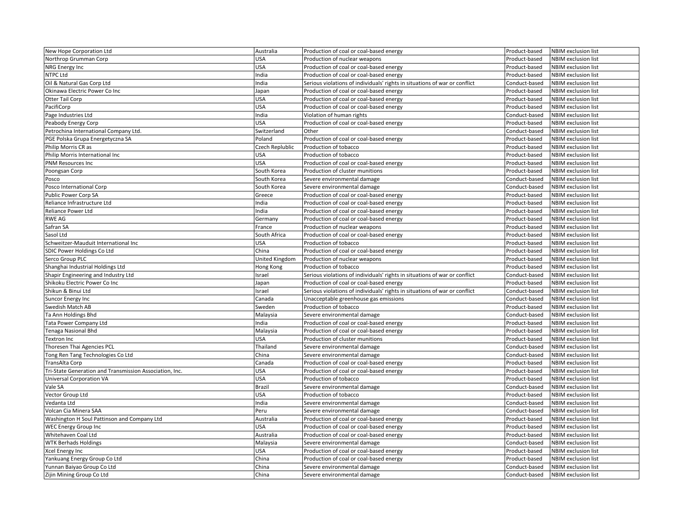| New Hope Corporation Ltd                                | Australia       | Production of coal or coal-based energy                                    | Product-based | NBIM exclusion list        |
|---------------------------------------------------------|-----------------|----------------------------------------------------------------------------|---------------|----------------------------|
| Northrop Grumman Corp                                   | USA             | Production of nuclear weapons                                              | Product-based | <b>NBIM</b> exclusion list |
| NRG Energy Inc                                          | USA             | Production of coal or coal-based energy                                    | Product-based | <b>NBIM</b> exclusion list |
| NTPC Ltd                                                | India           | Production of coal or coal-based energy                                    | Product-based | <b>NBIM</b> exclusion list |
| Oil & Natural Gas Corp Ltd                              | India           | Serious violations of individuals' rights in situations of war or conflict | Conduct-based | <b>NBIM</b> exclusion list |
| Okinawa Electric Power Co Inc                           | Japan           | Production of coal or coal-based energy                                    | Product-based | <b>NBIM</b> exclusion list |
| Otter Tail Corp                                         | USA             | Production of coal or coal-based energy                                    | Product-based | <b>NBIM</b> exclusion list |
| PacifiCorp                                              | <b>USA</b>      | Production of coal or coal-based energy                                    | Product-based | <b>NBIM</b> exclusion list |
| Page Industries Ltd                                     | India           | Violation of human rights                                                  | Conduct-based | NBIM exclusion list        |
| Peabody Energy Corp                                     | USA             | Production of coal or coal-based energy                                    | Product-based | NBIM exclusion list        |
| Petrochina International Company Ltd.                   | Switzerland     | Other                                                                      | Conduct-based | NBIM exclusion list        |
| PGE Polska Grupa Energetyczna SA                        | Poland          | Production of coal or coal-based energy                                    | Product-based | <b>NBIM</b> exclusion list |
| Philip Morris CR as                                     | Czech Replublic | Production of tobacco                                                      | Product-based | <b>NBIM</b> exclusion list |
| Philip Morris International Inc                         | USA             | Production of tobacco                                                      | Product-based | NBIM exclusion list        |
| <b>PNM Resources Inc</b>                                | USA             | Production of coal or coal-based energy                                    | Product-based | NBIM exclusion list        |
| Poongsan Corp                                           | South Korea     | Production of cluster munitions                                            | Product-based | <b>NBIM</b> exclusion list |
| Posco                                                   | South Korea     | Severe environmental damage                                                | Conduct-based | NBIM exclusion list        |
| Posco International Corp                                | South Korea     | Severe environmental damage                                                | Conduct-based | <b>NBIM</b> exclusion list |
| Public Power Corp SA                                    | Greece          | Production of coal or coal-based energy                                    | Product-based | NBIM exclusion list        |
| Reliance Infrastructure Ltd                             | India           | Production of coal or coal-based energy                                    | Product-based | <b>NBIM</b> exclusion list |
| <b>Reliance Power Ltd</b>                               | India           | Production of coal or coal-based energy                                    | Product-based | <b>NBIM</b> exclusion list |
| RWE AG                                                  | Germany         | Production of coal or coal-based energy                                    | Product-based | <b>NBIM</b> exclusion list |
| Safran SA                                               | France          | Production of nuclear weapons                                              | Product-based | <b>NBIM</b> exclusion list |
| Sasol Ltd                                               | South Africa    | Production of coal or coal-based energy                                    | Product-based | NBIM exclusion list        |
| Schweitzer-Mauduit International Inc                    | USA             | Production of tobacco                                                      | Product-based | <b>NBIM</b> exclusion list |
| <b>SDIC Power Holdings Co Ltd</b>                       | China           | Production of coal or coal-based energy                                    | Product-based | NBIM exclusion list        |
| Serco Group PLC                                         | United Kingdom  | Production of nuclear weapons                                              | Product-based | NBIM exclusion list        |
| Shanghai Industrial Holdings Ltd                        | Hong Kong       | Production of tobacco                                                      | Product-based | NBIM exclusion list        |
| Shapir Engineering and Industry Ltd                     | Israel          | Serious violations of individuals' rights in situations of war or conflict | Conduct-based | <b>NBIM</b> exclusion list |
| Shikoku Electric Power Co Inc                           | Japan           | Production of coal or coal-based energy                                    | Product-based | NBIM exclusion list        |
| Shikun & Binui Ltd                                      | Israel          | Serious violations of individuals' rights in situations of war or conflict | Conduct-based | <b>NBIM</b> exclusion list |
| Suncor Energy Inc                                       | Canada          | Unacceptable greenhouse gas emissions                                      | Conduct-based | NBIM exclusion list        |
| Swedish Match AB                                        | Sweden          | Production of tobacco                                                      | Product-based | <b>NBIM</b> exclusion list |
| Ta Ann Holdings Bhd                                     | Malaysia        | Severe environmental damage                                                | Conduct-based | <b>NBIM</b> exclusion list |
| Tata Power Company Ltd                                  | India           | Production of coal or coal-based energy                                    | Product-based | NBIM exclusion list        |
| Tenaga Nasional Bhd                                     | Malaysia        | Production of coal or coal-based energy                                    | Product-based | NBIM exclusion list        |
| Textron Inc                                             | USA             | Production of cluster munitions                                            | Product-based | NBIM exclusion list        |
| Thoresen Thai Agencies PCL                              | Thailand        | Severe environmental damage                                                | Conduct-based | NBIM exclusion list        |
| Tong Ren Tang Technologies Co Ltd                       | China           | Severe environmental damage                                                | Conduct-based | NBIM exclusion list        |
| TransAlta Corp                                          | Canada          | Production of coal or coal-based energy                                    | Product-based | NBIM exclusion list        |
| Tri-State Generation and Transmission Association, Inc. | <b>USA</b>      | Production of coal or coal-based energy                                    | Product-based | NBIM exclusion list        |
| <b>Universal Corporation VA</b>                         | <b>USA</b>      | Production of tobacco                                                      | Product-based | <b>NBIM</b> exclusion list |
| Vale SA                                                 | <b>Brazil</b>   | Severe environmental damage                                                | Conduct-based | NBIM exclusion list        |
| Vector Group Ltd                                        | <b>USA</b>      | Production of tobacco                                                      | Product-based | <b>NBIM</b> exclusion list |
| Vedanta Ltd                                             | India           | Severe environmental damage                                                | Conduct-based | NBIM exclusion list        |
| Volcan Cia Minera SAA                                   | Peru            | Severe environmental damage                                                | Conduct-based | NBIM exclusion list        |
| Washington H Soul Pattinson and Company Ltd             | Australia       | Production of coal or coal-based energy                                    | Product-based | <b>NBIM</b> exclusion list |
| WEC Energy Group Inc                                    | USA             | Production of coal or coal-based energy                                    | Product-based | <b>NBIM</b> exclusion list |
| Whitehaven Coal Ltd                                     | Australia       | Production of coal or coal-based energy                                    | Product-based | <b>NBIM</b> exclusion list |
| <b>WTK Berhads Holdings</b>                             | Malaysia        | Severe environmental damage                                                | Conduct-based | NBIM exclusion list        |
| Xcel Energy Inc                                         | USA             | Production of coal or coal-based energy                                    | Product-based | NBIM exclusion list        |
| Yankuang Energy Group Co Ltd                            | China           | Production of coal or coal-based energy                                    | Product-based | NBIM exclusion list        |
| Yunnan Baiyao Group Co Ltd                              | China           | Severe environmental damage                                                | Conduct-based | NBIM exclusion list        |
| Zijin Mining Group Co Ltd                               | China           | Severe environmental damage                                                | Conduct-based | NBIM exclusion list        |